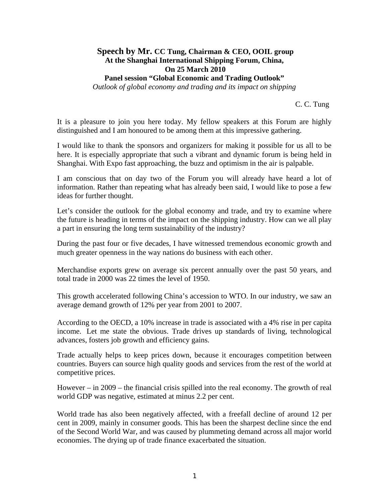## **Speech by Mr. CC Tung, Chairman & CEO, OOIL group At the Shanghai International Shipping Forum, China, On 25 March 2010 Panel session "Global Economic and Trading Outlook"**

*Outlook of global economy and trading and its impact on shipping*

C. C. Tung

It is a pleasure to join you here today. My fellow speakers at this Forum are highly distinguished and I am honoured to be among them at this impressive gathering.

I would like to thank the sponsors and organizers for making it possible for us all to be here. It is especially appropriate that such a vibrant and dynamic forum is being held in Shanghai. With Expo fast approaching, the buzz and optimism in the air is palpable.

I am conscious that on day two of the Forum you will already have heard a lot of information. Rather than repeating what has already been said, I would like to pose a few ideas for further thought.

Let's consider the outlook for the global economy and trade, and try to examine where the future is heading in terms of the impact on the shipping industry. How can we all play a part in ensuring the long term sustainability of the industry?

During the past four or five decades, I have witnessed tremendous economic growth and much greater openness in the way nations do business with each other.

Merchandise exports grew on average six percent annually over the past 50 years, and total trade in 2000 was 22 times the level of 1950.

This growth accelerated following China's accession to WTO. In our industry, we saw an average demand growth of 12% per year from 2001 to 2007.

According to the OECD, a 10% increase in trade is associated with a 4% rise in per capita income. Let me state the obvious. Trade drives up standards of living, technological advances, fosters job growth and efficiency gains.

Trade actually helps to keep prices down, because it encourages competition between countries. Buyers can source high quality goods and services from the rest of the world at competitive prices.

However – in 2009 – the financial crisis spilled into the real economy. The growth of real world GDP was negative, estimated at minus 2.2 per cent.

World trade has also been negatively affected, with a freefall decline of around 12 per cent in 2009, mainly in consumer goods. This has been the sharpest decline since the end of the Second World War, and was caused by plummeting demand across all major world economies. The drying up of trade finance exacerbated the situation.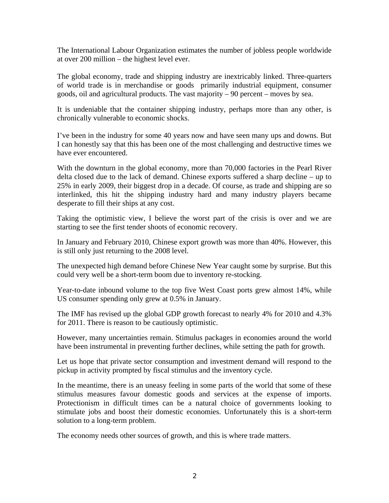The International Labour Organization estimates the number of jobless people worldwide at over 200 million – the highest level ever.

The global economy, trade and shipping industry are inextricably linked. Three-quarters of world trade is in merchandise or goods primarily industrial equipment, consumer goods, oil and agricultural products. The vast majority – 90 percent – moves by sea.

It is undeniable that the container shipping industry, perhaps more than any other, is chronically vulnerable to economic shocks.

I've been in the industry for some 40 years now and have seen many ups and downs. But I can honestly say that this has been one of the most challenging and destructive times we have ever encountered.

With the downturn in the global economy, more than 70,000 factories in the Pearl River delta closed due to the lack of demand. Chinese exports suffered a sharp decline – up to 25% in early 2009, their biggest drop in a decade. Of course, as trade and shipping are so interlinked, this hit the shipping industry hard and many industry players became desperate to fill their ships at any cost.

Taking the optimistic view, I believe the worst part of the crisis is over and we are starting to see the first tender shoots of economic recovery.

In January and February 2010, Chinese export growth was more than 40%. However, this is still only just returning to the 2008 level.

The unexpected high demand before Chinese New Year caught some by surprise. But this could very well be a short-term boom due to inventory re-stocking.

Year-to-date inbound volume to the top five West Coast ports grew almost 14%, while US consumer spending only grew at 0.5% in January.

The IMF has revised up the global GDP growth forecast to nearly 4% for 2010 and 4.3% for 2011. There is reason to be cautiously optimistic.

However, many uncertainties remain. Stimulus packages in economies around the world have been instrumental in preventing further declines, while setting the path for growth.

Let us hope that private sector consumption and investment demand will respond to the pickup in activity prompted by fiscal stimulus and the inventory cycle.

In the meantime, there is an uneasy feeling in some parts of the world that some of these stimulus measures favour domestic goods and services at the expense of imports. Protectionism in difficult times can be a natural choice of governments looking to stimulate jobs and boost their domestic economies. Unfortunately this is a short-term solution to a long-term problem.

The economy needs other sources of growth, and this is where trade matters.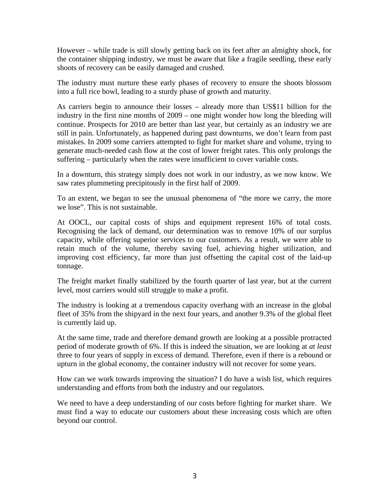However – while trade is still slowly getting back on its feet after an almighty shock, for the container shipping industry, we must be aware that like a fragile seedling, these early shoots of recovery can be easily damaged and crushed.

The industry must nurture these early phases of recovery to ensure the shoots blossom into a full rice bowl, leading to a sturdy phase of growth and maturity.

As carriers begin to announce their losses – already more than US\$11 billion for the industry in the first nine months of 2009 – one might wonder how long the bleeding will continue. Prospects for 2010 are better than last year, but certainly as an industry we are still in pain. Unfortunately, as happened during past downturns, we don't learn from past mistakes. In 2009 some carriers attempted to fight for market share and volume, trying to generate much-needed cash flow at the cost of lower freight rates. This only prolongs the suffering – particularly when the rates were insufficient to cover variable costs.

In a downturn, this strategy simply does not work in our industry, as we now know. We saw rates plummeting precipitously in the first half of 2009.

To an extent, we began to see the unusual phenomena of "the more we carry, the more we lose". This is not sustainable.

At OOCL, our capital costs of ships and equipment represent 16% of total costs. Recognising the lack of demand, our determination was to remove 10% of our surplus capacity, while offering superior services to our customers. As a result, we were able to retain much of the volume, thereby saving fuel, achieving higher utilization, and improving cost efficiency, far more than just offsetting the capital cost of the laid-up tonnage.

The freight market finally stabilized by the fourth quarter of last year, but at the current level, most carriers would still struggle to make a profit.

The industry is looking at a tremendous capacity overhang with an increase in the global fleet of 35% from the shipyard in the next four years, and another 9.3% of the global fleet is currently laid up.

At the same time, trade and therefore demand growth are looking at a possible protracted period of moderate growth of 6%. If this is indeed the situation, we are looking at *at least* three to four years of supply in excess of demand. Therefore, even if there is a rebound or upturn in the global economy, the container industry will not recover for some years.

How can we work towards improving the situation? I do have a wish list, which requires understanding and efforts from both the industry and our regulators.

We need to have a deep understanding of our costs before fighting for market share. We must find a way to educate our customers about these increasing costs which are often beyond our control.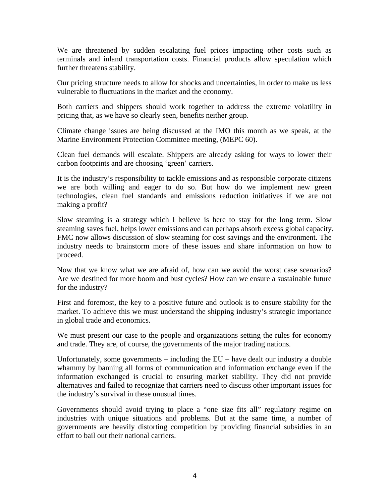We are threatened by sudden escalating fuel prices impacting other costs such as terminals and inland transportation costs. Financial products allow speculation which further threatens stability.

Our pricing structure needs to allow for shocks and uncertainties, in order to make us less vulnerable to fluctuations in the market and the economy.

Both carriers and shippers should work together to address the extreme volatility in pricing that, as we have so clearly seen, benefits neither group.

Climate change issues are being discussed at the IMO this month as we speak, at the Marine Environment Protection Committee meeting, (MEPC 60).

Clean fuel demands will escalate. Shippers are already asking for ways to lower their carbon footprints and are choosing 'green' carriers.

It is the industry's responsibility to tackle emissions and as responsible corporate citizens we are both willing and eager to do so. But how do we implement new green technologies, clean fuel standards and emissions reduction initiatives if we are not making a profit?

Slow steaming is a strategy which I believe is here to stay for the long term. Slow steaming saves fuel, helps lower emissions and can perhaps absorb excess global capacity. FMC now allows discussion of slow steaming for cost savings and the environment. The industry needs to brainstorm more of these issues and share information on how to proceed.

Now that we know what we are afraid of, how can we avoid the worst case scenarios? Are we destined for more boom and bust cycles? How can we ensure a sustainable future for the industry?

First and foremost, the key to a positive future and outlook is to ensure stability for the market. To achieve this we must understand the shipping industry's strategic importance in global trade and economics.

We must present our case to the people and organizations setting the rules for economy and trade. They are, of course, the governments of the major trading nations.

Unfortunately, some governments – including the EU – have dealt our industry a double whammy by banning all forms of communication and information exchange even if the information exchanged is crucial to ensuring market stability. They did not provide alternatives and failed to recognize that carriers need to discuss other important issues for the industry's survival in these unusual times.

Governments should avoid trying to place a "one size fits all" regulatory regime on industries with unique situations and problems. But at the same time, a number of governments are heavily distorting competition by providing financial subsidies in an effort to bail out their national carriers.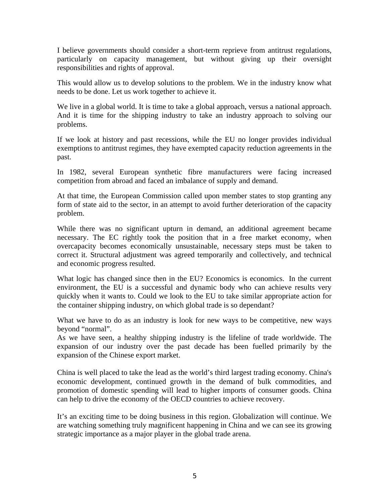I believe governments should consider a short-term reprieve from antitrust regulations, particularly on capacity management, but without giving up their oversight responsibilities and rights of approval.

This would allow us to develop solutions to the problem. We in the industry know what needs to be done. Let us work together to achieve it.

We live in a global world. It is time to take a global approach, versus a national approach. And it is time for the shipping industry to take an industry approach to solving our problems.

If we look at history and past recessions, while the EU no longer provides individual exemptions to antitrust regimes, they have exempted capacity reduction agreements in the past.

In 1982, several European synthetic fibre manufacturers were facing increased competition from abroad and faced an imbalance of supply and demand.

At that time, the European Commission called upon member states to stop granting any form of state aid to the sector, in an attempt to avoid further deterioration of the capacity problem.

While there was no significant upturn in demand, an additional agreement became necessary. The EC rightly took the position that in a free market economy, when overcapacity becomes economically unsustainable, necessary steps must be taken to correct it. Structural adjustment was agreed temporarily and collectively, and technical and economic progress resulted.

What logic has changed since then in the EU? Economics is economics. In the current environment, the EU is a successful and dynamic body who can achieve results very quickly when it wants to. Could we look to the EU to take similar appropriate action for the container shipping industry, on which global trade is so dependant?

What we have to do as an industry is look for new ways to be competitive, new ways beyond "normal".

As we have seen, a healthy shipping industry is the lifeline of trade worldwide. The expansion of our industry over the past decade has been fuelled primarily by the expansion of the Chinese export market.

China is well placed to take the lead as the world's third largest trading economy. China's economic development, continued growth in the demand of bulk commodities, and promotion of domestic spending will lead to higher imports of consumer goods. China can help to drive the economy of the OECD countries to achieve recovery.

It's an exciting time to be doing business in this region. Globalization will continue. We are watching something truly magnificent happening in China and we can see its growing strategic importance as a major player in the global trade arena.